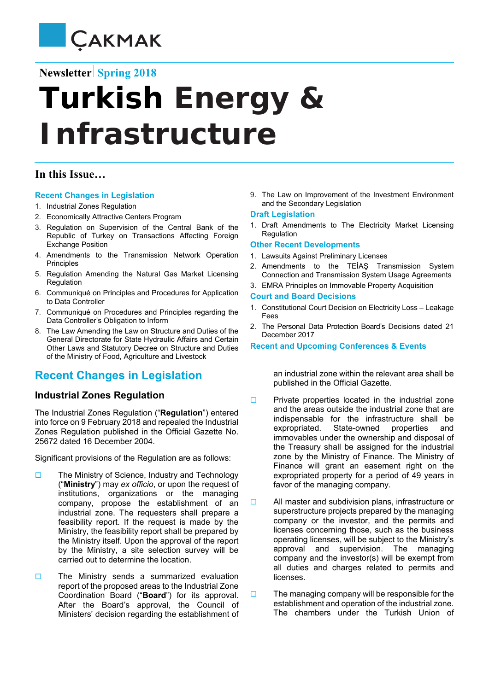

# **Newsletter** Spring 2018

# **Turkish Energy** *&*  **Infrastructure**

## **In this Issue…**

#### **Recent Changes in Legislation**

- 1. Industrial Zones Regulation
- 2. Economically Attractive Centers Program
- 3. Regulation on Supervision of the Central Bank of the Republic of Turkey on Transactions Affecting Foreign Exchange Position
- 4. Amendments to the Transmission Network Operation Principles
- 5. Regulation Amending the Natural Gas Market Licensing Regulation
- 6. Communiqué on Principles and Procedures for Application to Data Controller
- 7. Communiqué on Procedures and Principles regarding the Data Controller's Obligation to Inform
- 8. The Law Amending the Law on Structure and Duties of the General Directorate for State Hydraulic Affairs and Certain Other Laws and Statutory Decree on Structure and Duties of the Ministry of Food, Agriculture and Livestock

# **Recent Changes in Legislation**

#### **Industrial Zones Regulation**

The Industrial Zones Regulation ("**Regulation**") entered into force on 9 February 2018 and repealed the Industrial Zones Regulation published in the Official Gazette No. 25672 dated 16 December 2004.

Significant provisions of the Regulation are as follows:

- $\Box$  The Ministry of Science, Industry and Technology ("**Ministry**") may *ex officio*, or upon the request of institutions, organizations or the managing company, propose the establishment of an industrial zone. The requesters shall prepare a feasibility report. If the request is made by the Ministry, the feasibility report shall be prepared by the Ministry itself. Upon the approval of the report by the Ministry, a site selection survey will be carried out to determine the location.
- $\Box$  The Ministry sends a summarized evaluation report of the proposed areas to the Industrial Zone Coordination Board ("**Board**") for its approval. After the Board's approval, the Council of Ministers' decision regarding the establishment of

9. The Law on Improvement of the Investment Environment and the Secondary Legislation

#### **Draft Legislation**

1. Draft Amendments to The Electricity Market Licensing Regulation

#### **Other Recent Developments**

- 1. Lawsuits Against Preliminary Licenses
- 2. Amendments to the TEİAŞ Transmission System Connection and Transmission System Usage Agreements
- 3. EMRA Principles on Immovable Property Acquisition

#### **Court and Board Decisions**

- 1. Constitutional Court Decision on Electricity Loss Leakage Fees
- 2. The Personal Data Protection Board's Decisions dated 21 December 2017

**Recent and Upcoming Conferences & Events** 

an industrial zone within the relevant area shall be published in the Official Gazette.

- $\Box$  Private properties located in the industrial zone and the areas outside the industrial zone that are indispensable for the infrastructure shall be expropriated. State-owned properties and immovables under the ownership and disposal of the Treasury shall be assigned for the industrial zone by the Ministry of Finance. The Ministry of Finance will grant an easement right on the expropriated property for a period of 49 years in favor of the managing company.
- $\Box$  All master and subdivision plans, infrastructure or superstructure projects prepared by the managing company or the investor, and the permits and licenses concerning those, such as the business operating licenses, will be subject to the Ministry's approval and supervision. The managing company and the investor(s) will be exempt from all duties and charges related to permits and licenses.
- $\Box$  The managing company will be responsible for the establishment and operation of the industrial zone. The chambers under the Turkish Union of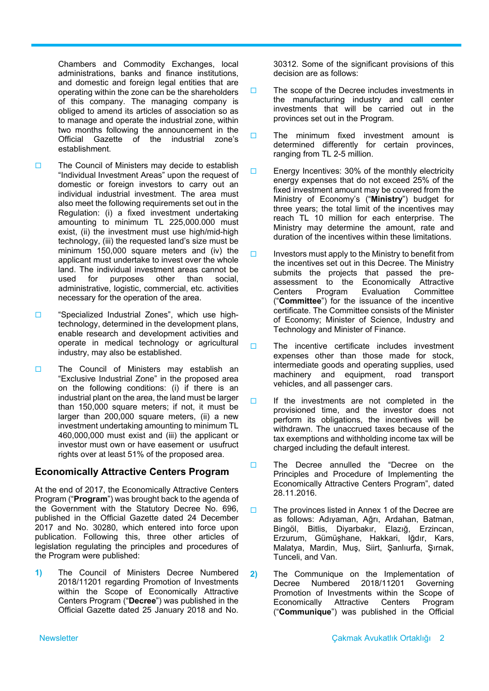Chambers and Commodity Exchanges, local administrations, banks and finance institutions, and domestic and foreign legal entities that are operating within the zone can be the shareholders of this company. The managing company is obliged to amend its articles of association so as to manage and operate the industrial zone, within two months following the announcement in the Official Gazette of the industrial zone's establishment.

- $\Box$  The Council of Ministers may decide to establish "Individual Investment Areas" upon the request of domestic or foreign investors to carry out an individual industrial investment. The area must also meet the following requirements set out in the Regulation: (i) a fixed investment undertaking amounting to minimum TL 225,000.000 must exist, (ii) the investment must use high/mid-high technology, (iii) the requested land's size must be minimum 150,000 square meters and (iv) the applicant must undertake to invest over the whole land. The individual investment areas cannot be used for purposes other than social, administrative, logistic, commercial, etc. activities necessary for the operation of the area.
- □ "Specialized Industrial Zones", which use hightechnology, determined in the development plans, enable research and development activities and operate in medical technology or agricultural industry, may also be established.
- $\Box$  The Council of Ministers may establish an "Exclusive Industrial Zone" in the proposed area on the following conditions: (i) if there is an industrial plant on the area, the land must be larger than 150,000 square meters; if not, it must be larger than 200,000 square meters, (ii) a new investment undertaking amounting to minimum TL 460,000,000 must exist and (iii) the applicant or investor must own or have easement or usufruct rights over at least 51% of the proposed area.

#### **Economically Attractive Centers Program**

At the end of 2017, the Economically Attractive Centers Program ("**Program**") was brought back to the agenda of the Government with the Statutory Decree No. 696, published in the Official Gazette dated 24 December 2017 and No. 30280, which entered into force upon publication. Following this, three other articles of legislation regulating the principles and procedures of the Program were published:

**1)** The Council of Ministers Decree Numbered 2018/11201 regarding Promotion of Investments within the Scope of Economically Attractive Centers Program ("**Decree**") was published in the Official Gazette dated 25 January 2018 and No.

30312. Some of the significant provisions of this decision are as follows:

- $\Box$  The scope of the Decree includes investments in the manufacturing industry and call center investments that will be carried out in the provinces set out in the Program.
- $\Box$  The minimum fixed investment amount is determined differently for certain provinces, ranging from TL 2-5 million.
- **Energy Incentives: 30% of the monthly electricity** energy expenses that do not exceed 25% of the fixed investment amount may be covered from the Ministry of Economy's ("**Ministry**") budget for three years; the total limit of the incentives may reach TL 10 million for each enterprise. The Ministry may determine the amount, rate and duration of the incentives within these limitations.
- $\Box$  Investors must apply to the Ministry to benefit from the incentives set out in this Decree. The Ministry submits the projects that passed the preassessment to the Economically Attractive Centers Program Evaluation Committee ("**Committee**") for the issuance of the incentive certificate. The Committee consists of the Minister of Economy; Minister of Science, Industry and Technology and Minister of Finance.
- $\Box$  The incentive certificate includes investment expenses other than those made for stock, intermediate goods and operating supplies, used machinery and equipment, road transport vehicles, and all passenger cars.
- $\Box$  If the investments are not completed in the provisioned time, and the investor does not perform its obligations, the incentives will be withdrawn. The unaccrued taxes because of the tax exemptions and withholding income tax will be charged including the default interest.
- □ The Decree annulled the "Decree on the Principles and Procedure of Implementing the Economically Attractive Centers Program", dated 28.11.2016.
- $\Box$  The provinces listed in Annex 1 of the Decree are as follows: Adıyaman, Ağrı, Ardahan, Batman, Bingöl, Bitlis, Diyarbakır, Elazığ, Erzincan, Erzurum, Gümüşhane, Hakkari, Iğdır, Kars, Malatya, Mardin, Muş, Siirt, Şanlıurfa, Şırnak, Tunceli, and Van.
- **2)** The Communique on the Implementation of Decree Numbered 2018/11201 Governing Promotion of Investments within the Scope of Economically Attractive Centers Program ("**Communique**") was published in the Official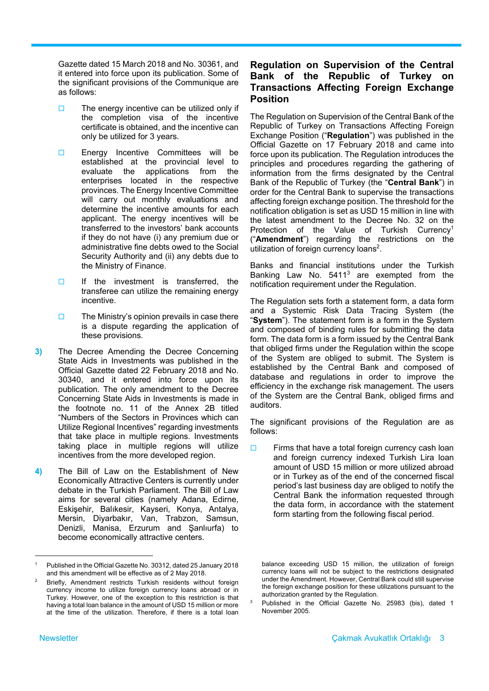Gazette dated 15 March 2018 and No. 30361, and it entered into force upon its publication. Some of the significant provisions of the Communique are as follows:

- $\Box$  The energy incentive can be utilized only if the completion visa of the incentive certificate is obtained, and the incentive can only be utilized for 3 years.
- Energy Incentive Committees will be established at the provincial level to evaluate the applications from the enterprises located in the respective provinces. The Energy Incentive Committee will carry out monthly evaluations and determine the incentive amounts for each applicant. The energy incentives will be transferred to the investors' bank accounts if they do not have (i) any premium due or administrative fine debts owed to the Social Security Authority and (ii) any debts due to the Ministry of Finance.
- $\Box$  If the investment is transferred, the transferee can utilize the remaining energy incentive.
- $\Box$  The Ministry's opinion prevails in case there is a dispute regarding the application of these provisions.
- **3)** The Decree Amending the Decree Concerning State Aids in Investments was published in the Official Gazette dated 22 February 2018 and No. 30340, and it entered into force upon its publication. The only amendment to the Decree Concerning State Aids in Investments is made in the footnote no. 11 of the Annex 2B titled "Numbers of the Sectors in Provinces which can Utilize Regional Incentives" regarding investments that take place in multiple regions. Investments taking place in multiple regions will utilize incentives from the more developed region.
- **4)** The Bill of Law on the Establishment of New Economically Attractive Centers is currently under debate in the Turkish Parliament. The Bill of Law aims for several cities (namely Adana, Edirne, Eskişehir, Balıkesir, Kayseri, Konya, Antalya, Mersin, Diyarbakır, Van, Trabzon, Samsun, Denizli, Manisa, Erzurum and Şanlıurfa) to become economically attractive centers.

## **Regulation on Supervision of the Central Bank of the Republic of Turkey on Transactions Affecting Foreign Exchange Position**

The Regulation on Supervision of the Central Bank of the Republic of Turkey on Transactions Affecting Foreign Exchange Position ("**Regulation**") was published in the Official Gazette on 17 February 2018 and came into force upon its publication. The Regulation introduces the principles and procedures regarding the gathering of information from the firms designated by the Central Bank of the Republic of Turkey (the "**Central Bank**") in order for the Central Bank to supervise the transactions affecting foreign exchange position. The threshold for the notification obligation is set as USD 15 million in line with the latest amendment to the Decree No. 32 on the Protection of the Value of Turkish Currency<sup>1</sup> ("**Amendment**") regarding the restrictions on the utilization of foreign currency loans<sup>2</sup>.

Banks and financial institutions under the Turkish Banking Law No. 5411<sup>3</sup> are exempted from the notification requirement under the Regulation.

The Regulation sets forth a statement form, a data form and a Systemic Risk Data Tracing System (the "**System**"). The statement form is a form in the System and composed of binding rules for submitting the data form. The data form is a form issued by the Central Bank that obliged firms under the Regulation within the scope of the System are obliged to submit. The System is established by the Central Bank and composed of database and regulations in order to improve the efficiency in the exchange risk management. The users of the System are the Central Bank, obliged firms and auditors.

The significant provisions of the Regulation are as follows:

 $\Box$  Firms that have a total foreign currency cash loan and foreign currency indexed Turkish Lira loan amount of USD 15 million or more utilized abroad or in Turkey as of the end of the concerned fiscal period's last business day are obliged to notify the Central Bank the information requested through the data form, in accordance with the statement form starting from the following fiscal period.

3

<sup>1</sup> Published in the Official Gazette No. 30312, dated 25 January 2018 and this amendment will be effective as of 2 May 2018.

<sup>2</sup> Briefly, Amendment restricts Turkish residents without foreign currency income to utilize foreign currency loans abroad or in Turkey. However, one of the exception to this restriction is that having a total loan balance in the amount of USD 15 million or more at the time of the utilization. Therefore, if there is a total loan

balance exceeding USD 15 million, the utilization of foreign currency loans will not be subject to the restrictions designated under the Amendment. However, Central Bank could still supervise the foreign exchange position for these utilizations pursuant to the authorization granted by the Regulation.

Published in the Official Gazette No. 25983 (bis), dated 1 November 2005.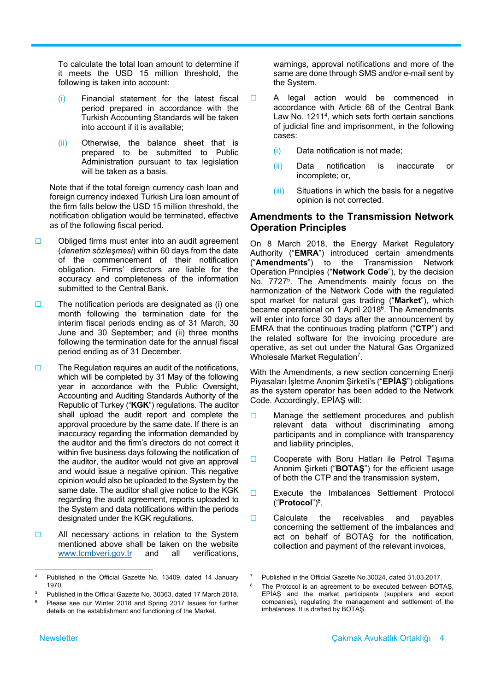To calculate the total loan amount to determine if it meets the USD 15 million threshold, the following is taken into account:

- (i) Financial statement for the latest fiscal period prepared in accordance with the Turkish Accounting Standards will be taken into account if it is available;
- (ii) Otherwise, the balance sheet that is prepared to be submitted to Public Administration pursuant to tax legislation will be taken as a basis.

Note that if the total foreign currency cash loan and foreign currency indexed Turkish Lira loan amount of the firm falls below the USD 15 million threshold, the notification obligation would be terminated, effective as of the following fiscal period.

- $\Box$  Obliged firms must enter into an audit agreement (*denetim sözleşmesi*) within 60 days from the date of the commencement of their notification obligation. Firms' directors are liable for the accuracy and completeness of the information submitted to the Central Bank.
- $\Box$  The notification periods are designated as (i) one month following the termination date for the interim fiscal periods ending as of 31 March, 30 June and 30 September; and (ii) three months following the termination date for the annual fiscal period ending as of 31 December.
- $\Box$  The Regulation requires an audit of the notifications, which will be completed by 31 May of the following year in accordance with the Public Oversight, Accounting and Auditing Standards Authority of the Republic of Turkey ("**KGK**") regulations. The auditor shall upload the audit report and complete the approval procedure by the same date. If there is an inaccuracy regarding the information demanded by the auditor and the firm's directors do not correct it within five business days following the notification of the auditor, the auditor would not give an approval and would issue a negative opinion. This negative opinion would also be uploaded to the System by the same date. The auditor shall give notice to the KGK regarding the audit agreement, reports uploaded to the System and data notifications within the periods designated under the KGK regulations.
- $\Box$  All necessary actions in relation to the System mentioned above shall be taken on the website www.tcmbveri.gov.tr and all verifications,

warnings, approval notifications and more of the same are done through SMS and/or e-mail sent by the System.

- A legal action would be commenced in accordance with Article 68 of the Central Bank Law No. 12114, which sets forth certain sanctions of judicial fine and imprisonment, in the following cases:
	- (i) Data notification is not made;
	- (ii) Data notification is inaccurate or incomplete; or,
	- (iii) Situations in which the basis for a negative opinion is not corrected.

#### **Amendments to the Transmission Network Operation Principles**

On 8 March 2018, the Energy Market Regulatory Authority ("**EMRA**") introduced certain amendments ("**Amendments**") to the Transmission Network Operation Principles ("**Network Code**"), by the decision No. 77275. The Amendments mainly focus on the harmonization of the Network Code with the regulated spot market for natural gas trading ("**Market**"), which became operational on 1 April 2018<sup>6</sup>. The Amendments will enter into force 30 days after the announcement by EMRA that the continuous trading platform ("**CTP**") and the related software for the invoicing procedure are operative, as set out under the Natural Gas Organized Wholesale Market Regulation<sup>7</sup>.

With the Amendments, a new section concerning Enerji Piyasaları İşletme Anonim Şirketi's ("**EPİAŞ**") obligations as the system operator has been added to the Network Code. Accordingly, EPİAŞ will:

- $\square$  Manage the settlement procedures and publish relevant data without discriminating among participants and in compliance with transparency and liability principles,
- Cooperate with Boru Hatları ile Petrol Taşıma Anonim Şirketi ("**BOTAŞ**") for the efficient usage of both the CTP and the transmission system,
- Execute the Imbalances Settlement Protocol ("**Protocol**")8,
- $\Box$  Calculate the receivables and payables concerning the settlement of the imbalances and act on behalf of BOTAŞ for the notification, collection and payment of the relevant invoices,

8

 4 Published in the Official Gazette No. 13409, dated 14 January 1970.

<sup>5</sup> Published in the Official Gazette No. 30363, dated 17 March 2018.

<sup>6</sup> Please see our Winter 2018 and Spring 2017 Issues for further details on the establishment and functioning of the Market.

<sup>7</sup> Published in the Official Gazette No.30024, dated 31.03.2017.

The Protocol is an agreement to be executed between BOTAŞ, EPİAŞ and the market participants (suppliers and export companies), regulating the management and settlement of the imbalances. It is drafted by BOTAŞ.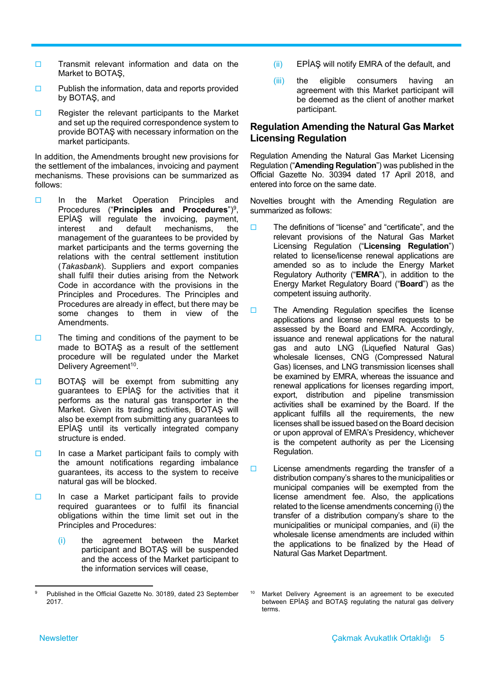- $\Box$  Transmit relevant information and data on the Market to BOTAŞ,
- $\Box$  Publish the information, data and reports provided by BOTAŞ, and
- $\Box$  Register the relevant participants to the Market and set up the required correspondence system to provide BOTAŞ with necessary information on the market participants.

In addition, the Amendments brought new provisions for the settlement of the imbalances, invoicing and payment mechanisms. These provisions can be summarized as follows:

- In the Market Operation Principles and Procedures ("**Principles and Procedures**")9, EPİAŞ will regulate the invoicing, payment, interest and default mechanisms, the management of the guarantees to be provided by market participants and the terms governing the relations with the central settlement institution (*Takasbank*). Suppliers and export companies shall fulfil their duties arising from the Network Code in accordance with the provisions in the Principles and Procedures. The Principles and Procedures are already in effect, but there may be some changes to them in view of the Amendments.
- $\Box$  The timing and conditions of the payment to be made to BOTAŞ as a result of the settlement procedure will be regulated under the Market Delivery Agreement<sup>10</sup>.
- **BOTAŞ** will be exempt from submitting any guarantees to EPİAŞ for the activities that it performs as the natural gas transporter in the Market. Given its trading activities, BOTAS will also be exempt from submitting any guarantees to EPİAŞ until its vertically integrated company structure is ended.
- $\Box$  In case a Market participant fails to comply with the amount notifications regarding imbalance guarantees, its access to the system to receive natural gas will be blocked.
- $\Box$  In case a Market participant fails to provide required guarantees or to fulfil its financial obligations within the time limit set out in the Principles and Procedures:
	- (i) the agreement between the Market participant and BOTAŞ will be suspended and the access of the Market participant to the information services will cease,
- (ii) EPİAŞ will notify EMRA of the default, and
- (iii) the eligible consumers having an agreement with this Market participant will be deemed as the client of another market participant.

#### **Regulation Amending the Natural Gas Market Licensing Regulation**

Regulation Amending the Natural Gas Market Licensing Regulation ("**Amending Regulation**") was published in the Official Gazette No. 30394 dated 17 April 2018, and entered into force on the same date.

Novelties brought with the Amending Regulation are summarized as follows:

- □ The definitions of "license" and "certificate", and the relevant provisions of the Natural Gas Market Licensing Regulation ("**Licensing Regulation**") related to license/license renewal applications are amended so as to include the Energy Market Regulatory Authority ("**EMRA**"), in addition to the Energy Market Regulatory Board ("**Board**") as the competent issuing authority.
- $\square$  The Amending Regulation specifies the license applications and license renewal requests to be assessed by the Board and EMRA. Accordingly, issuance and renewal applications for the natural gas and auto LNG (Liquefied Natural Gas) wholesale licenses, CNG (Compressed Natural Gas) licenses, and LNG transmission licenses shall be examined by EMRA, whereas the issuance and renewal applications for licenses regarding import, export, distribution and pipeline transmission activities shall be examined by the Board. If the applicant fulfills all the requirements, the new licenses shall be issued based on the Board decision or upon approval of EMRA's Presidency, whichever is the competent authority as per the Licensing Regulation.
- $\square$  License amendments regarding the transfer of a distribution company's shares to the municipalities or municipal companies will be exempted from the license amendment fee. Also, the applications related to the license amendments concerning (i) the transfer of a distribution company's share to the municipalities or municipal companies, and (ii) the wholesale license amendments are included within the applications to be finalized by the Head of Natural Gas Market Department.

 9 Published in the Official Gazette No. 30189, dated 23 September 2017.

Market Delivery Agreement is an agreement to be executed between EPİAŞ and BOTAŞ regulating the natural gas delivery terms.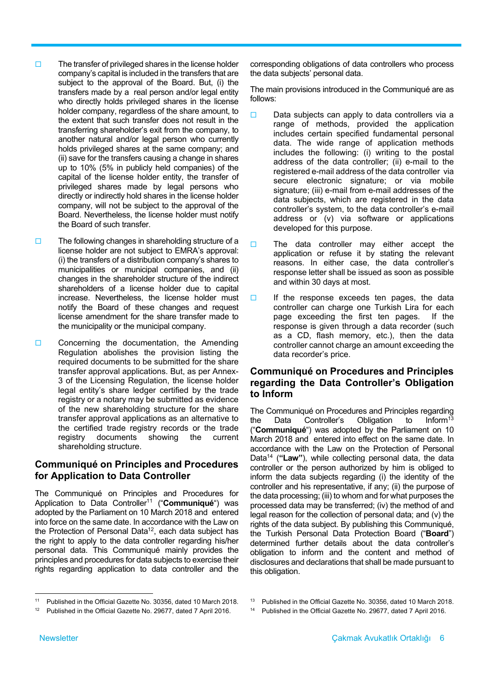- $\square$  The transfer of privileged shares in the license holder company's capital is included in the transfers that are subject to the approval of the Board. But, (i) the transfers made by a real person and/or legal entity who directly holds privileged shares in the license holder company, regardless of the share amount, to the extent that such transfer does not result in the transferring shareholder's exit from the company, to another natural and/or legal person who currently holds privileged shares at the same company; and (ii) save for the transfers causing a change in shares up to 10% (5% in publicly held companies) of the capital of the license holder entity, the transfer of privileged shares made by legal persons who directly or indirectly hold shares in the license holder company, will not be subject to the approval of the Board. Nevertheless, the license holder must notify the Board of such transfer.
- $\square$  The following changes in shareholding structure of a license holder are not subject to EMRA's approval: (i) the transfers of a distribution company's shares to municipalities or municipal companies, and (ii) changes in the shareholder structure of the indirect shareholders of a license holder due to capital increase. Nevertheless, the license holder must notify the Board of these changes and request license amendment for the share transfer made to the municipality or the municipal company.
- $\Box$  Concerning the documentation, the Amending Regulation abolishes the provision listing the required documents to be submitted for the share transfer approval applications. But, as per Annex-3 of the Licensing Regulation, the license holder legal entity's share ledger certified by the trade registry or a notary may be submitted as evidence of the new shareholding structure for the share transfer approval applications as an alternative to the certified trade registry records or the trade registry documents showing the current shareholding structure.

#### **Communiqué on Principles and Procedures for Application to Data Controller**

The Communiqué on Principles and Procedures for Application to Data Controller11 ("**Communiqué**") was adopted by the Parliament on 10 March 2018 and entered into force on the same date. In accordance with the Law on the Protection of Personal Data<sup>12</sup>, each data subject has the right to apply to the data controller regarding his/her personal data. This Communiqué mainly provides the principles and procedures for data subjects to exercise their rights regarding application to data controller and the

corresponding obligations of data controllers who process the data subjects' personal data.

The main provisions introduced in the Communiqué are as follows:

- $\Box$  Data subjects can apply to data controllers via a range of methods, provided the application includes certain specified fundamental personal data. The wide range of application methods includes the following: (i) writing to the postal address of the data controller; (ii) e-mail to the registered e-mail address of the data controller via secure electronic signature; or via mobile signature; (iii) e-mail from e-mail addresses of the data subjects, which are registered in the data controller's system, to the data controller's e-mail address or (v) via software or applications developed for this purpose.
- $\Box$  The data controller may either accept the application or refuse it by stating the relevant reasons. In either case, the data controller's response letter shall be issued as soon as possible and within 30 days at most.
- $\Box$  If the response exceeds ten pages, the data controller can charge one Turkish Lira for each page exceeding the first ten pages. If the response is given through a data recorder (such as a CD, flash memory, etc.), then the data controller cannot charge an amount exceeding the data recorder's price.

## **Communiqué on Procedures and Principles regarding the Data Controller's Obligation to Inform**

The Communiqué on Procedures and Principles regarding<br>the Data Controller's Obligation to Inform<sup>13</sup> the Data Controller's Obligation to Inform<sup>13</sup> ("**Communiqué**") was adopted by the Parliament on 10 March 2018 and entered into effect on the same date. In accordance with the Law on the Protection of Personal Data14 (**"Law"**), while collecting personal data, the data controller or the person authorized by him is obliged to inform the data subjects regarding (i) the identity of the controller and his representative, if any; (ii) the purpose of the data processing; (iii) to whom and for what purposes the processed data may be transferred; (iv) the method of and legal reason for the collection of personal data; and (v) the rights of the data subject. By publishing this Communiqué, the Turkish Personal Data Protection Board ("**Board**") determined further details about the data controller's obligation to inform and the content and method of disclosures and declarations that shall be made pursuant to this obligation.

 11 Published in the Official Gazette No. 30356, dated 10 March 2018.

<sup>&</sup>lt;sup>12</sup> Published in the Official Gazette No. 29677, dated 7 April 2016.

<sup>&</sup>lt;sup>14</sup> Published in the Official Gazette No. 29677, dated 7 April 2016.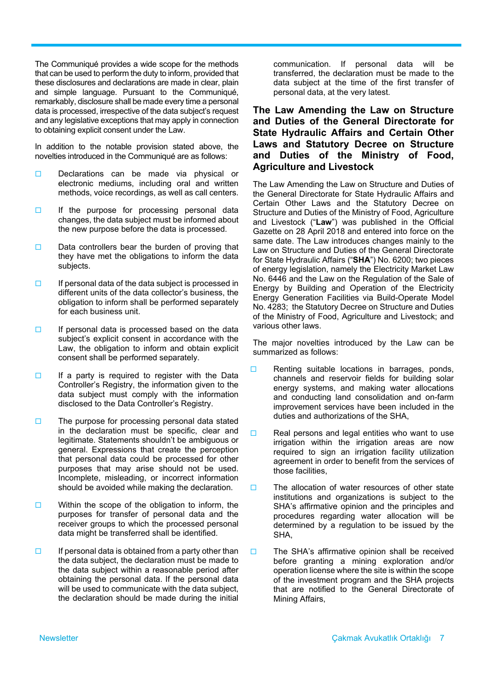The Communiqué provides a wide scope for the methods that can be used to perform the duty to inform, provided that these disclosures and declarations are made in clear, plain and simple language. Pursuant to the Communiqué, remarkably, disclosure shall be made every time a personal data is processed, irrespective of the data subject's request and any legislative exceptions that may apply in connection to obtaining explicit consent under the Law.

In addition to the notable provision stated above, the novelties introduced in the Communiqué are as follows:

- Declarations can be made via physical or electronic mediums, including oral and written methods, voice recordings, as well as call centers.
- $\Box$  If the purpose for processing personal data changes, the data subject must be informed about the new purpose before the data is processed.
- $\Box$  Data controllers bear the burden of proving that they have met the obligations to inform the data subjects.
- $\Box$  If personal data of the data subject is processed in different units of the data collector's business, the obligation to inform shall be performed separately for each business unit.
- $\Box$  If personal data is processed based on the data subject's explicit consent in accordance with the Law, the obligation to inform and obtain explicit consent shall be performed separately.
- $\Box$  If a party is required to register with the Data Controller's Registry, the information given to the data subject must comply with the information disclosed to the Data Controller's Registry.
- $\Box$  The purpose for processing personal data stated in the declaration must be specific, clear and legitimate. Statements shouldn't be ambiguous or general. Expressions that create the perception that personal data could be processed for other purposes that may arise should not be used. Incomplete, misleading, or incorrect information should be avoided while making the declaration.
- $\Box$  Within the scope of the obligation to inform, the purposes for transfer of personal data and the receiver groups to which the processed personal data might be transferred shall be identified.
- $\Box$  If personal data is obtained from a party other than the data subject, the declaration must be made to the data subject within a reasonable period after obtaining the personal data. If the personal data will be used to communicate with the data subject. the declaration should be made during the initial

communication. If personal data will be transferred, the declaration must be made to the data subject at the time of the first transfer of personal data, at the very latest.

#### **The Law Amending the Law on Structure and Duties of the General Directorate for State Hydraulic Affairs and Certain Other Laws and Statutory Decree on Structure and Duties of the Ministry of Food, Agriculture and Livestock**

The Law Amending the Law on Structure and Duties of the General Directorate for State Hydraulic Affairs and Certain Other Laws and the Statutory Decree on Structure and Duties of the Ministry of Food, Agriculture and Livestock ("**Law**") was published in the Official Gazette on 28 April 2018 and entered into force on the same date. The Law introduces changes mainly to the Law on Structure and Duties of the General Directorate for State Hydraulic Affairs ("**SHA**") No. 6200; two pieces of energy legislation, namely the Electricity Market Law No. 6446 and the Law on the Regulation of the Sale of Energy by Building and Operation of the Electricity Energy Generation Facilities via Build-Operate Model No. 4283; the Statutory Decree on Structure and Duties of the Ministry of Food, Agriculture and Livestock; and various other laws.

The major novelties introduced by the Law can be summarized as follows:

- $\Box$  Renting suitable locations in barrages, ponds, channels and reservoir fields for building solar energy systems, and making water allocations and conducting land consolidation and on-farm improvement services have been included in the duties and authorizations of the SHA,
- $\Box$  Real persons and legal entities who want to use irrigation within the irrigation areas are now required to sign an irrigation facility utilization agreement in order to benefit from the services of those facilities,
- $\square$  The allocation of water resources of other state institutions and organizations is subject to the SHA's affirmative opinion and the principles and procedures regarding water allocation will be determined by a regulation to be issued by the SHA,
- $\square$  The SHA's affirmative opinion shall be received before granting a mining exploration and/or operation license where the site is within the scope of the investment program and the SHA projects that are notified to the General Directorate of Mining Affairs,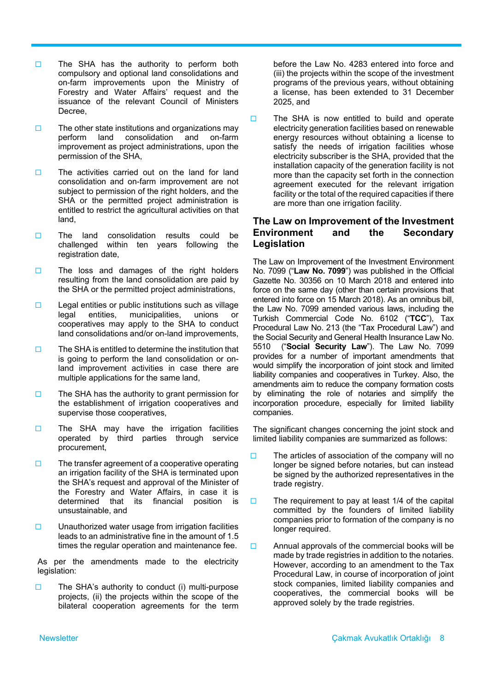- $\Box$  The SHA has the authority to perform both compulsory and optional land consolidations and on-farm improvements upon the Ministry of Forestry and Water Affairs' request and the issuance of the relevant Council of Ministers Decree,
- $\square$  The other state institutions and organizations may perform land consolidation and on-farm improvement as project administrations, upon the permission of the SHA,
- $\square$  The activities carried out on the land for land consolidation and on-farm improvement are not subject to permission of the right holders, and the SHA or the permitted project administration is entitled to restrict the agricultural activities on that land,
- $\Box$  The land consolidation results could be challenged within ten years following the registration date,
- $\Box$  The loss and damages of the right holders resulting from the land consolidation are paid by the SHA or the permitted project administrations,
- $\Box$  Legal entities or public institutions such as village legal entities, municipalities, unions or cooperatives may apply to the SHA to conduct land consolidations and/or on-land improvements,
- $\Box$  The SHA is entitled to determine the institution that is going to perform the land consolidation or onland improvement activities in case there are multiple applications for the same land,
- $\Box$  The SHA has the authority to grant permission for the establishment of irrigation cooperatives and supervise those cooperatives,
- $\Box$  The SHA may have the irrigation facilities operated by third parties through service procurement,
- $\Box$  The transfer agreement of a cooperative operating an irrigation facility of the SHA is terminated upon the SHA's request and approval of the Minister of the Forestry and Water Affairs, in case it is determined that its financial position is unsustainable, and
- $\square$  Unauthorized water usage from irrigation facilities leads to an administrative fine in the amount of 1.5 times the regular operation and maintenance fee.

As per the amendments made to the electricity legislation:

 $\square$  The SHA's authority to conduct (i) multi-purpose projects, (ii) the projects within the scope of the bilateral cooperation agreements for the term before the Law No. 4283 entered into force and (iii) the projects within the scope of the investment programs of the previous years, without obtaining a license, has been extended to 31 December 2025, and

 $\Box$  The SHA is now entitled to build and operate electricity generation facilities based on renewable energy resources without obtaining a license to satisfy the needs of irrigation facilities whose electricity subscriber is the SHA, provided that the installation capacity of the generation facility is not more than the capacity set forth in the connection agreement executed for the relevant irrigation facility or the total of the required capacities if there are more than one irrigation facility.

#### **The Law on Improvement of the Investment Environment and the Secondary Legislation**

The Law on Improvement of the Investment Environment No. 7099 ("**Law No. 7099**") was published in the Official Gazette No. 30356 on 10 March 2018 and entered into force on the same day (other than certain provisions that entered into force on 15 March 2018). As an omnibus bill, the Law No. 7099 amended various laws, including the Turkish Commercial Code No. 6102 ("**TCC**"), Tax Procedural Law No. 213 (the "Tax Procedural Law") and the Social Security and General Health Insurance Law No. 5510 ("**Social Security Law**"). The Law No. 7099 provides for a number of important amendments that would simplify the incorporation of joint stock and limited liability companies and cooperatives in Turkey. Also, the amendments aim to reduce the company formation costs by eliminating the role of notaries and simplify the incorporation procedure, especially for limited liability companies.

The significant changes concerning the joint stock and limited liability companies are summarized as follows:

- $\Box$  The articles of association of the company will no longer be signed before notaries, but can instead be signed by the authorized representatives in the trade registry.
- $\square$  The requirement to pay at least 1/4 of the capital committed by the founders of limited liability companies prior to formation of the company is no longer required.
- $\Box$  Annual approvals of the commercial books will be made by trade registries in addition to the notaries. However, according to an amendment to the Tax Procedural Law, in course of incorporation of joint stock companies, limited liability companies and cooperatives, the commercial books will be approved solely by the trade registries.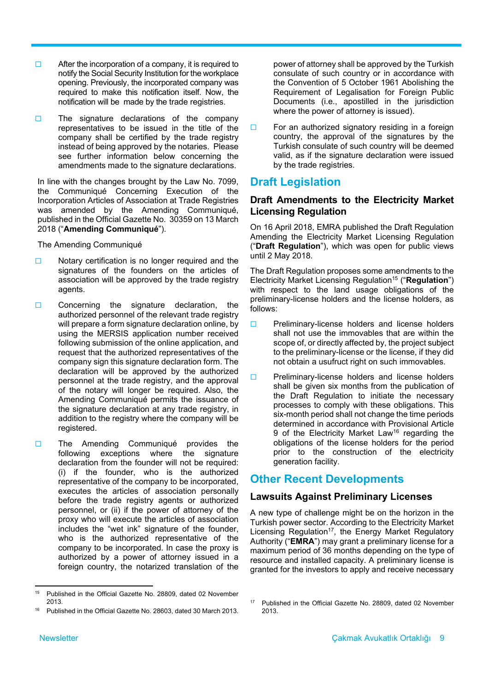- $\Box$  After the incorporation of a company, it is required to notify the Social Security Institution for the workplace opening. Previously, the incorporated company was required to make this notification itself. Now, the notification will be made by the trade registries.
- $\Box$  The signature declarations of the company representatives to be issued in the title of the company shall be certified by the trade registry instead of being approved by the notaries. Please see further information below concerning the amendments made to the signature declarations.

In line with the changes brought by the Law No. 7099, the Communiqué Concerning Execution of the Incorporation Articles of Association at Trade Registries was amended by the Amending Communiqué, published in the Official Gazette No. 30359 on 13 March 2018 ("**Amending Communiqué**").

The Amending Communiqué

- $\Box$  Notary certification is no longer required and the signatures of the founders on the articles of association will be approved by the trade registry agents.
- $\Box$  Concerning the signature declaration, the authorized personnel of the relevant trade registry will prepare a form signature declaration online, by using the MERSIS application number received following submission of the online application, and request that the authorized representatives of the company sign this signature declaration form. The declaration will be approved by the authorized personnel at the trade registry, and the approval of the notary will longer be required. Also, the Amending Communiqué permits the issuance of the signature declaration at any trade registry, in addition to the registry where the company will be registered.
- **The Amending Communiqué provides the** following exceptions where the signature declaration from the founder will not be required: (i) if the founder, who is the authorized representative of the company to be incorporated, executes the articles of association personally before the trade registry agents or authorized personnel, or (ii) if the power of attorney of the proxy who will execute the articles of association includes the "wet ink" signature of the founder, who is the authorized representative of the company to be incorporated. In case the proxy is authorized by a power of attorney issued in a foreign country, the notarized translation of the

power of attorney shall be approved by the Turkish consulate of such country or in accordance with the Convention of 5 October 1961 Abolishing the Requirement of Legalisation for Foreign Public Documents (i.e., apostilled in the jurisdiction where the power of attorney is issued).

 $\Box$  For an authorized signatory residing in a foreign country, the approval of the signatures by the Turkish consulate of such country will be deemed valid, as if the signature declaration were issued by the trade registries.

# **Draft Legislation**

## **Draft Amendments to the Electricity Market Licensing Regulation**

On 16 April 2018, EMRA published the Draft Regulation Amending the Electricity Market Licensing Regulation ("**Draft Regulation**"), which was open for public views until 2 May 2018.

The Draft Regulation proposes some amendments to the Electricity Market Licensing Regulation15 ("**Regulation**") with respect to the land usage obligations of the preliminary-license holders and the license holders, as follows:

- $\Box$  Preliminary-license holders and license holders shall not use the immovables that are within the scope of, or directly affected by, the project subject to the preliminary-license or the license, if they did not obtain a usufruct right on such immovables.
- $\Box$  Preliminary-license holders and license holders shall be given six months from the publication of the Draft Regulation to initiate the necessary processes to comply with these obligations. This six-month period shall not change the time periods determined in accordance with Provisional Article 9 of the Electricity Market Law<sup>16</sup> regarding the obligations of the license holders for the period prior to the construction of the electricity generation facility.

# **Other Recent Developments**

## **Lawsuits Against Preliminary Licenses**

A new type of challenge might be on the horizon in the Turkish power sector. According to the Electricity Market Licensing Regulation<sup>17</sup>, the Energy Market Regulatory Authority ("**EMRA**") may grant a preliminary license for a maximum period of 36 months depending on the type of resource and installed capacity. A preliminary license is granted for the investors to apply and receive necessary

<sup>17</sup> Published in the Official Gazette No. 28809, dated 02 November

2013.

 15 Published in the Official Gazette No. 28809, dated 02 November 2013.

Published in the Official Gazette No. 28603, dated 30 March 2013.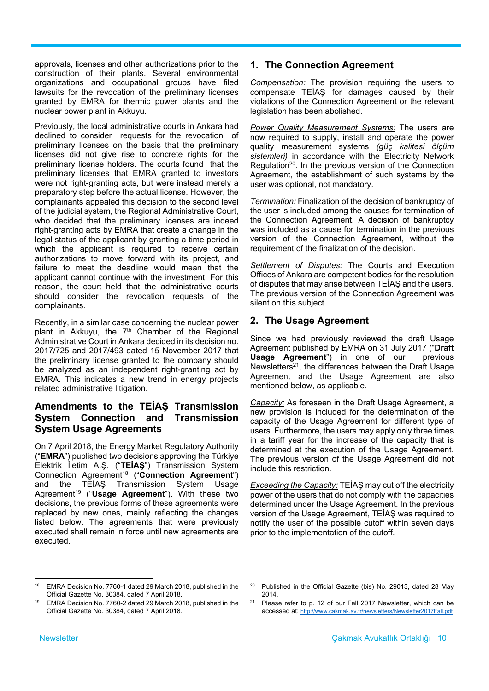approvals, licenses and other authorizations prior to the construction of their plants. Several environmental organizations and occupational groups have filed lawsuits for the revocation of the preliminary licenses granted by EMRA for thermic power plants and the nuclear power plant in Akkuyu.

Previously, the local administrative courts in Ankara had declined to consider requests for the revocation of preliminary licenses on the basis that the preliminary licenses did not give rise to concrete rights for the preliminary license holders. The courts found that the preliminary licenses that EMRA granted to investors were not right-granting acts, but were instead merely a preparatory step before the actual license. However, the complainants appealed this decision to the second level of the judicial system, the Regional Administrative Court, who decided that the preliminary licenses are indeed right-granting acts by EMRA that create a change in the legal status of the applicant by granting a time period in which the applicant is required to receive certain authorizations to move forward with its project, and failure to meet the deadline would mean that the applicant cannot continue with the investment. For this reason, the court held that the administrative courts should consider the revocation requests of the complainants.

Recently, in a similar case concerning the nuclear power plant in Akkuyu, the 7<sup>th</sup> Chamber of the Regional Administrative Court in Ankara decided in its decision no. 2017/725 and 2017/493 dated 15 November 2017 that the preliminary license granted to the company should be analyzed as an independent right-granting act by EMRA. This indicates a new trend in energy projects related administrative litigation.

#### **Amendments to the TEİAŞ Transmission System Connection and Transmission System Usage Agreements**

On 7 April 2018, the Energy Market Regulatory Authority ("**EMRA**") published two decisions approving the Türkiye Elektrik İletim A.Ş. ("**TEİAŞ**") Transmission System Connection Agreement<sup>18</sup> ("Connection Agreement") and the TEİAŞ Transmission System Usage Agreement<sup>19</sup> ("Usage Agreement"). With these two decisions, the previous forms of these agreements were replaced by new ones, mainly reflecting the changes listed below. The agreements that were previously executed shall remain in force until new agreements are executed.

## **1. The Connection Agreement**

*Compensation:* The provision requiring the users to compensate TEİAŞ for damages caused by their violations of the Connection Agreement or the relevant legislation has been abolished.

*Power Quality Measurement Systems:* The users are now required to supply, install and operate the power quality measurement systems *(güç kalitesi ölçüm sistemleri)* in accordance with the Electricity Network Regulation<sup>20</sup>. In the previous version of the Connection Agreement, the establishment of such systems by the user was optional, not mandatory.

*Termination:* Finalization of the decision of bankruptcy of the user is included among the causes for termination of the Connection Agreement. A decision of bankruptcy was included as a cause for termination in the previous version of the Connection Agreement, without the requirement of the finalization of the decision.

*Settlement of Disputes:* The Courts and Execution Offices of Ankara are competent bodies for the resolution of disputes that may arise between TEİAŞ and the users. The previous version of the Connection Agreement was silent on this subject.

## **2. The Usage Agreement**

Since we had previously reviewed the draft Usage Agreement published by EMRA on 31 July 2017 ("**Draft Usage Agreement**") in one of our previous Newsletters<sup>21</sup>, the differences between the Draft Usage Agreement and the Usage Agreement are also mentioned below, as applicable.

*Capacity:* As foreseen in the Draft Usage Agreement, a new provision is included for the determination of the capacity of the Usage Agreement for different type of users. Furthermore, the users may apply only three times in a tariff year for the increase of the capacity that is determined at the execution of the Usage Agreement. The previous version of the Usage Agreement did not include this restriction.

*Exceeding the Capacity:* TEİAŞ may cut off the electricity power of the users that do not comply with the capacities determined under the Usage Agreement. In the previous version of the Usage Agreement, TEİAŞ was required to notify the user of the possible cutoff within seven days prior to the implementation of the cutoff.

accessed at: http://www.cakmak.av.tr/newsletters/Newsletter2017Fall.pdf

 EMRA Decision No. 7760-1 dated 29 March 2018, published in the Official Gazette No. 30384, dated 7 April 2018.

<sup>20</sup> Published in the Official Gazette (bis) No. 29013, dated 28 May 2014.  $21$  Please refer to p. 12 of our Fall 2017 Newsletter, which can be

EMRA Decision No. 7760-2 dated 29 March 2018, published in the Official Gazette No. 30384, dated 7 April 2018.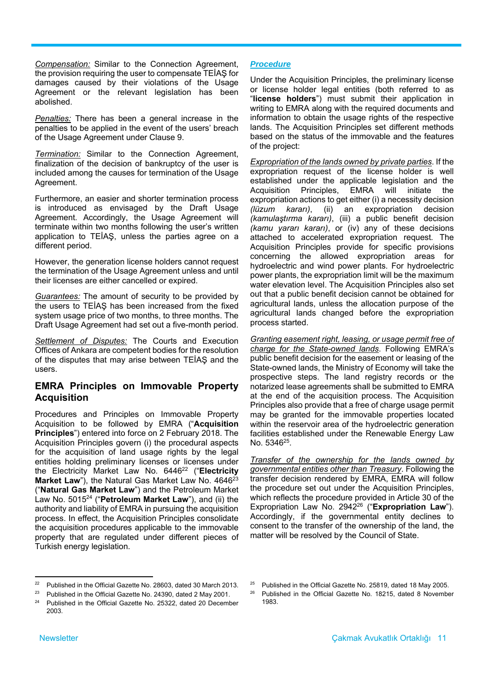*Compensation:* Similar to the Connection Agreement, the provision requiring the user to compensate TEİAŞ for damages caused by their violations of the Usage Agreement or the relevant legislation has been abolished.

*Penalties:* There has been a general increase in the penalties to be applied in the event of the users' breach of the Usage Agreement under Clause 9.

*Termination:* Similar to the Connection Agreement, finalization of the decision of bankruptcy of the user is included among the causes for termination of the Usage Agreement.

Furthermore, an easier and shorter termination process is introduced as envisaged by the Draft Usage Agreement. Accordingly, the Usage Agreement will terminate within two months following the user's written application to TEİAŞ, unless the parties agree on a different period.

However, the generation license holders cannot request the termination of the Usage Agreement unless and until their licenses are either cancelled or expired.

*Guarantees:* The amount of security to be provided by the users to TEİAŞ has been increased from the fixed system usage price of two months, to three months. The Draft Usage Agreement had set out a five-month period.

*Settlement of Disputes:* The Courts and Execution Offices of Ankara are competent bodies for the resolution of the disputes that may arise between TEİAŞ and the users.

#### **EMRA Principles on Immovable Property Acquisition**

Procedures and Principles on Immovable Property Acquisition to be followed by EMRA ("**Acquisition Principles**") entered into force on 2 February 2018. The Acquisition Principles govern (i) the procedural aspects for the acquisition of land usage rights by the legal entities holding preliminary licenses or licenses under the Electricity Market Law No. 644622 ("**Electricity Market Law**"), the Natural Gas Market Law No. 4646<sup>23</sup> ("**Natural Gas Market Law**") and the Petroleum Market Law No. 501524 ("**Petroleum Market Law**"), and (ii) the authority and liability of EMRA in pursuing the acquisition process. In effect, the Acquisition Principles consolidate the acquisition procedures applicable to the immovable property that are regulated under different pieces of Turkish energy legislation.

#### *Procedure*

Under the Acquisition Principles, the preliminary license or license holder legal entities (both referred to as "**license holders**") must submit their application in writing to EMRA along with the required documents and information to obtain the usage rights of the respective lands. The Acquisition Principles set different methods based on the status of the immovable and the features of the project:

*Expropriation of the lands owned by private parties*. If the expropriation request of the license holder is well established under the applicable legislation and the Acquisition Principles, EMRA will initiate the expropriation actions to get either (i) a necessity decision *(lüzum kararı)*, (ii) an expropriation decision *(kamulaştırma kararı)*, (iii) a public benefit decision *(kamu yararı kararı)*, or (iv) any of these decisions attached to accelerated expropriation request*.* The Acquisition Principles provide for specific provisions concerning the allowed expropriation areas for hydroelectric and wind power plants. For hydroelectric power plants, the expropriation limit will be the maximum water elevation level. The Acquisition Principles also set out that a public benefit decision cannot be obtained for agricultural lands, unless the allocation purpose of the agricultural lands changed before the expropriation process started.

*Granting easement right, leasing, or usage permit free of charge for the State-owned lands*. Following EMRA's public benefit decision for the easement or leasing of the State-owned lands, the Ministry of Economy will take the prospective steps. The land registry records or the notarized lease agreements shall be submitted to EMRA at the end of the acquisition process. The Acquisition Principles also provide that a free of charge usage permit may be granted for the immovable properties located within the reservoir area of the hydroelectric generation facilities established under the Renewable Energy Law No. 5346<sup>25</sup>.

*Transfer of the ownership for the lands owned by governmental entities other than Treasury*. Following the transfer decision rendered by EMRA, EMRA will follow the procedure set out under the Acquisition Principles, which reflects the procedure provided in Article 30 of the Expropriation Law No. 294226 ("**Expropriation Law**"). Accordingly, if the governmental entity declines to consent to the transfer of the ownership of the land, the matter will be resolved by the Council of State.

 22 Published in the Official Gazette No. 28603, dated 30 March 2013.

<sup>&</sup>lt;sup>23</sup> Published in the Official Gazette No. 24390, dated 2 May 2001.

<sup>24</sup> Published in the Official Gazette No. 25322, dated 20 December 2003.

<sup>&</sup>lt;sup>25</sup> Published in the Official Gazette No. 25819, dated 18 May 2005.

<sup>&</sup>lt;sup>26</sup> Published in the Official Gazette No. 18215, dated 8 November 1983.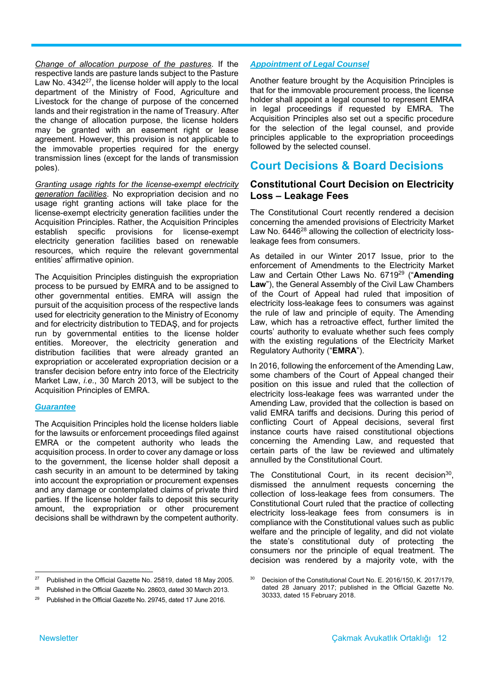*Change of allocation purpose of the pastures*. If the respective lands are pasture lands subject to the Pasture Law No. 4342<sup>27</sup>, the license holder will apply to the local department of the Ministry of Food, Agriculture and Livestock for the change of purpose of the concerned lands and their registration in the name of Treasury. After the change of allocation purpose, the license holders may be granted with an easement right or lease agreement. However, this provision is not applicable to the immovable properties required for the energy transmission lines (except for the lands of transmission poles).

*Granting usage rights for the license-exempt electricity generation facilities*. No expropriation decision and no usage right granting actions will take place for the license-exempt electricity generation facilities under the Acquisition Principles. Rather, the Acquisition Principles establish specific provisions for license-exempt electricity generation facilities based on renewable resources, which require the relevant governmental entities' affirmative opinion.

The Acquisition Principles distinguish the expropriation process to be pursued by EMRA and to be assigned to other governmental entities. EMRA will assign the pursuit of the acquisition process of the respective lands used for electricity generation to the Ministry of Economy and for electricity distribution to TEDAŞ, and for projects run by governmental entities to the license holder entities. Moreover, the electricity generation and distribution facilities that were already granted an expropriation or accelerated expropriation decision or a transfer decision before entry into force of the Electricity Market Law, *i.e.*, 30 March 2013, will be subject to the Acquisition Principles of EMRA.

#### *Guarantee*

The Acquisition Principles hold the license holders liable for the lawsuits or enforcement proceedings filed against EMRA or the competent authority who leads the acquisition process. In order to cover any damage or loss to the government, the license holder shall deposit a cash security in an amount to be determined by taking into account the expropriation or procurement expenses and any damage or contemplated claims of private third parties. If the license holder fails to deposit this security amount, the expropriation or other procurement decisions shall be withdrawn by the competent authority.

#### *Appointment of Legal Counsel*

Another feature brought by the Acquisition Principles is that for the immovable procurement process, the license holder shall appoint a legal counsel to represent EMRA in legal proceedings if requested by EMRA. The Acquisition Principles also set out a specific procedure for the selection of the legal counsel, and provide principles applicable to the expropriation proceedings followed by the selected counsel.

# **Court Decisions & Board Decisions**

#### **Constitutional Court Decision on Electricity Loss – Leakage Fees**

The Constitutional Court recently rendered a decision concerning the amended provisions of Electricity Market Law No. 6446<sup>28</sup> allowing the collection of electricity lossleakage fees from consumers.

As detailed in our Winter 2017 Issue, prior to the enforcement of Amendments to the Electricity Market Law and Certain Other Laws No. 671929 ("**Amending Law**"), the General Assembly of the Civil Law Chambers of the Court of Appeal had ruled that imposition of electricity loss-leakage fees to consumers was against the rule of law and principle of equity. The Amending Law, which has a retroactive effect, further limited the courts' authority to evaluate whether such fees comply with the existing regulations of the Electricity Market Regulatory Authority ("**EMRA**").

In 2016, following the enforcement of the Amending Law, some chambers of the Court of Appeal changed their position on this issue and ruled that the collection of electricity loss-leakage fees was warranted under the Amending Law, provided that the collection is based on valid EMRA tariffs and decisions. During this period of conflicting Court of Appeal decisions, several first instance courts have raised constitutional objections concerning the Amending Law, and requested that certain parts of the law be reviewed and ultimately annulled by the Constitutional Court.

The Constitutional Court, in its recent decision $30$ , dismissed the annulment requests concerning the collection of loss-leakage fees from consumers. The Constitutional Court ruled that the practice of collecting electricity loss-leakage fees from consumers is in compliance with the Constitutional values such as public welfare and the principle of legality, and did not violate the state's constitutional duty of protecting the consumers nor the principle of equal treatment. The decision was rendered by a majority vote, with the

 27 Published in the Official Gazette No. 25819, dated 18 May 2005.

<sup>&</sup>lt;sup>28</sup> Published in the Official Gazette No. 28603, dated 30 March 2013.

<sup>29</sup> Published in the Official Gazette No. 29745, dated 17 June 2016.

<sup>&</sup>lt;sup>30</sup> Decision of the Constitutional Court No. E. 2016/150, K. 2017/179, dated 28 January 2017; published in the Official Gazette No. 30333, dated 15 February 2018.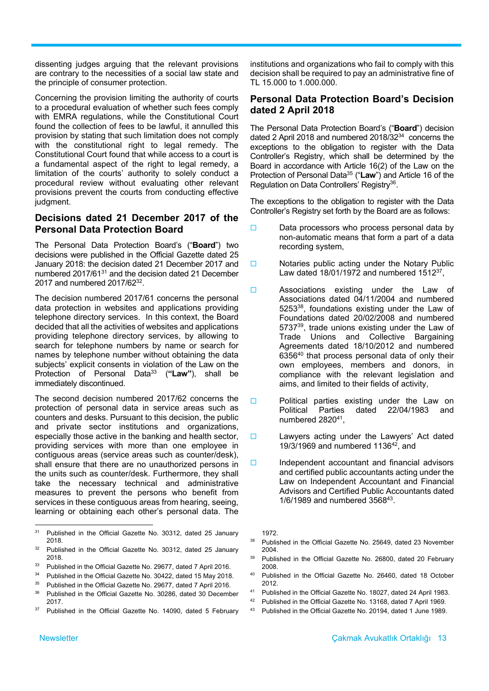dissenting judges arguing that the relevant provisions are contrary to the necessities of a social law state and the principle of consumer protection.

Concerning the provision limiting the authority of courts to a procedural evaluation of whether such fees comply with EMRA regulations, while the Constitutional Court found the collection of fees to be lawful, it annulled this provision by stating that such limitation does not comply with the constitutional right to legal remedy. The Constitutional Court found that while access to a court is a fundamental aspect of the right to legal remedy, a limitation of the courts' authority to solely conduct a procedural review without evaluating other relevant provisions prevent the courts from conducting effective judgment.

#### **Decisions dated 21 December 2017 of the Personal Data Protection Board**

The Personal Data Protection Board's ("**Board**") two decisions were published in the Official Gazette dated 25 January 2018: the decision dated 21 December 2017 and numbered 2017/6131 and the decision dated 21 December 2017 and numbered 2017/6232.

The decision numbered 2017/61 concerns the personal data protection in websites and applications providing telephone directory services. In this context, the Board decided that all the activities of websites and applications providing telephone directory services, by allowing to search for telephone numbers by name or search for names by telephone number without obtaining the data subjects' explicit consents in violation of the Law on the Protection of Personal Data33 (**"Law"**), shall be immediately discontinued.

The second decision numbered 2017/62 concerns the protection of personal data in service areas such as counters and desks. Pursuant to this decision, the public and private sector institutions and organizations, especially those active in the banking and health sector, providing services with more than one employee in contiguous areas (service areas such as counter/desk), shall ensure that there are no unauthorized persons in the units such as counter/desk. Furthermore, they shall take the necessary technical and administrative measures to prevent the persons who benefit from services in these contiguous areas from hearing, seeing, learning or obtaining each other's personal data. The

institutions and organizations who fail to comply with this decision shall be required to pay an administrative fine of TL 15.000 to 1.000.000.

#### **Personal Data Protection Board's Decision dated 2 April 2018**

The Personal Data Protection Board's ("**Board**") decision dated 2 April 2018 and numbered 2018/3234 concerns the exceptions to the obligation to register with the Data Controller's Registry, which shall be determined by the Board in accordance with Article 16(2) of the Law on the Protection of Personal Data35 ("**Law**") and Article 16 of the Regulation on Data Controllers' Registry<sup>36</sup>.

The exceptions to the obligation to register with the Data Controller's Registry set forth by the Board are as follows:

- $\Box$  Data processors who process personal data by non-automatic means that form a part of a data recording system,
- $\Box$  Notaries public acting under the Notary Public Law dated  $18/01/1972$  and numbered  $1512^{37}$ ,
- □ Associations existing under the Law of Associations dated 04/11/2004 and numbered 525338, foundations existing under the Law of Foundations dated 20/02/2008 and numbered 573739, trade unions existing under the Law of Trade Unions and Collective Bargaining Agreements dated 18/10/2012 and numbered  $6356^{40}$  that process personal data of only their own employees, members and donors, in compliance with the relevant legislation and aims, and limited to their fields of activity,
- $\Box$  Political parties existing under the Law on Political Parties dated 22/04/1983 and numbered 2820<sup>41</sup>.
- $\square$  Lawyers acting under the Lawyers' Act dated  $19/3/1969$  and numbered  $1136^{42}$ , and
- $\Box$  Independent accountant and financial advisors and certified public accountants acting under the Law on Independent Accountant and Financial Advisors and Certified Public Accountants dated 1/6/1989 and numbered 356843.

1972.

- <sup>38</sup> Published in the Official Gazette No. 25649, dated 23 November 2004.
- Published in the Official Gazette No. 26800, dated 20 February 2008.
- 40 Published in the Official Gazette No. 26460, dated 18 October 2012.
- 41 Published in the Official Gazette No. 18027, dated 24 April 1983.
- 42 Published in the Official Gazette No. 13168, dated 7 April 1969.
- 43 Published in the Official Gazette No. 20194, dated 1 June 1989.

 31 Published in the Official Gazette No. 30312, dated 25 January 2018.

<sup>32</sup> Published in the Official Gazette No. 30312, dated 25 January 2018.

<sup>33</sup> Published in the Official Gazette No. 29677, dated 7 April 2016.

<sup>&</sup>lt;sup>34</sup> Published in the Official Gazette No. 30422, dated 15 May 2018.

<sup>&</sup>lt;sup>35</sup> Published in the Official Gazette No. 29677, dated 7 April 2016.

<sup>&</sup>lt;sup>36</sup> Published in the Official Gazette No. 30286, dated 30 December 2017.

<sup>&</sup>lt;sup>37</sup> Published in the Official Gazette No. 14090, dated 5 February